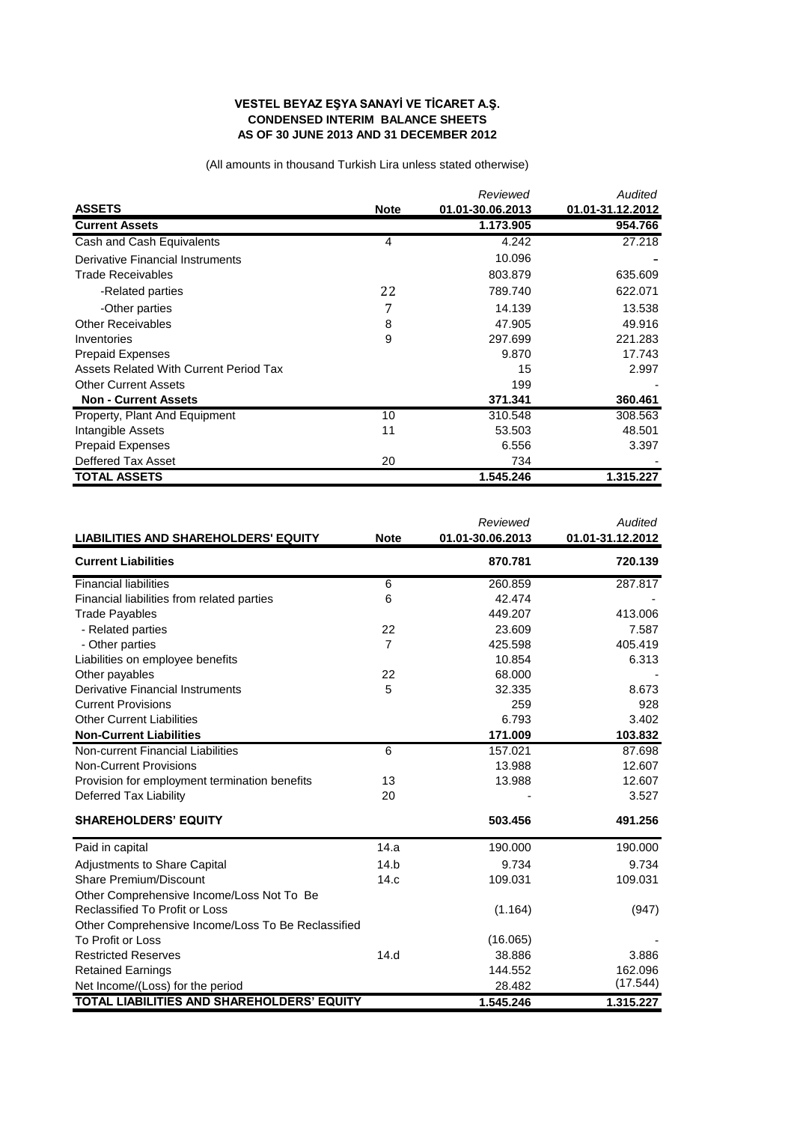## **VESTEL BEYAZ EŞYA SANAYİ VE TİCARET A.Ş. CONDENSED INTERIM BALANCE SHEETS AS OF 30 JUNE 2013 AND 31 DECEMBER 2012**

(All amounts in thousand Turkish Lira unless stated otherwise)

|                                        |                | Reviewed         | Audited          |
|----------------------------------------|----------------|------------------|------------------|
| <b>ASSETS</b>                          | <b>Note</b>    | 01.01-30.06.2013 | 01.01-31.12.2012 |
| <b>Current Assets</b>                  |                | 1.173.905        | 954.766          |
| Cash and Cash Equivalents              | $\overline{4}$ | 4.242            | 27.218           |
| Derivative Financial Instruments       |                | 10.096           |                  |
| <b>Trade Receivables</b>               |                | 803.879          | 635.609          |
| -Related parties                       | 22             | 789.740          | 622.071          |
| -Other parties                         | 7              | 14.139           | 13.538           |
| <b>Other Receivables</b>               | 8              | 47.905           | 49.916           |
| Inventories                            | 9              | 297.699          | 221.283          |
| <b>Prepaid Expenses</b>                |                | 9.870            | 17.743           |
| Assets Related With Current Period Tax |                | 15               | 2.997            |
| <b>Other Current Assets</b>            |                | 199              |                  |
| <b>Non - Current Assets</b>            |                | 371.341          | 360.461          |
| Property, Plant And Equipment          | 10             | 310.548          | 308.563          |
| Intangible Assets                      | 11             | 53.503           | 48.501           |
| <b>Prepaid Expenses</b>                |                | 6.556            | 3.397            |
| Deffered Tax Asset                     | 20             | 734              |                  |
| <b>TOTAL ASSETS</b>                    |                | 1.545.246        | 1.315.227        |

|                                                    |                | Reviewed         | <b>Audited</b>   |
|----------------------------------------------------|----------------|------------------|------------------|
| <b>LIABILITIES AND SHAREHOLDERS' EQUITY</b>        | <b>Note</b>    | 01.01-30.06.2013 | 01.01-31.12.2012 |
| <b>Current Liabilities</b>                         |                | 870.781          | 720.139          |
| <b>Financial liabilities</b>                       | 6              | 260.859          | 287.817          |
| Financial liabilities from related parties         | 6              | 42.474           |                  |
| <b>Trade Payables</b>                              |                | 449.207          | 413.006          |
| - Related parties                                  | 22             | 23.609           | 7.587            |
| - Other parties                                    | $\overline{7}$ | 425.598          | 405.419          |
| Liabilities on employee benefits                   |                | 10.854           | 6.313            |
| Other payables                                     | 22             | 68.000           |                  |
| <b>Derivative Financial Instruments</b>            | 5              | 32.335           | 8.673            |
| <b>Current Provisions</b>                          |                | 259              | 928              |
| <b>Other Current Liabilities</b>                   |                | 6.793            | 3.402            |
| <b>Non-Current Liabilities</b>                     |                | 171.009          | 103.832          |
| Non-current Financial Liabilities                  | 6              | 157.021          | 87.698           |
| <b>Non-Current Provisions</b>                      |                | 13.988           | 12.607           |
| Provision for employment termination benefits      | 13             | 13.988           | 12.607           |
| <b>Deferred Tax Liability</b>                      | 20             |                  | 3.527            |
| <b>SHAREHOLDERS' EQUITY</b>                        |                | 503.456          | 491.256          |
| Paid in capital                                    | 14.a           | 190.000          | 190.000          |
| <b>Adjustments to Share Capital</b>                | 14.b           | 9.734            | 9.734            |
| Share Premium/Discount                             | 14.c           | 109.031          | 109.031          |
| Other Comprehensive Income/Loss Not To Be          |                |                  |                  |
| Reclassified To Profit or Loss                     |                | (1.164)          | (947)            |
| Other Comprehensive Income/Loss To Be Reclassified |                |                  |                  |
| To Profit or Loss                                  |                | (16.065)         |                  |
| <b>Restricted Reserves</b>                         | 14.d           | 38.886           | 3.886            |
| <b>Retained Earnings</b>                           |                | 144.552          | 162.096          |
| Net Income/(Loss) for the period                   |                | 28.482           | (17.544)         |
| TOTAL LIABILITIES AND SHAREHOLDERS' EQUITY         |                | 1.545.246        | 1.315.227        |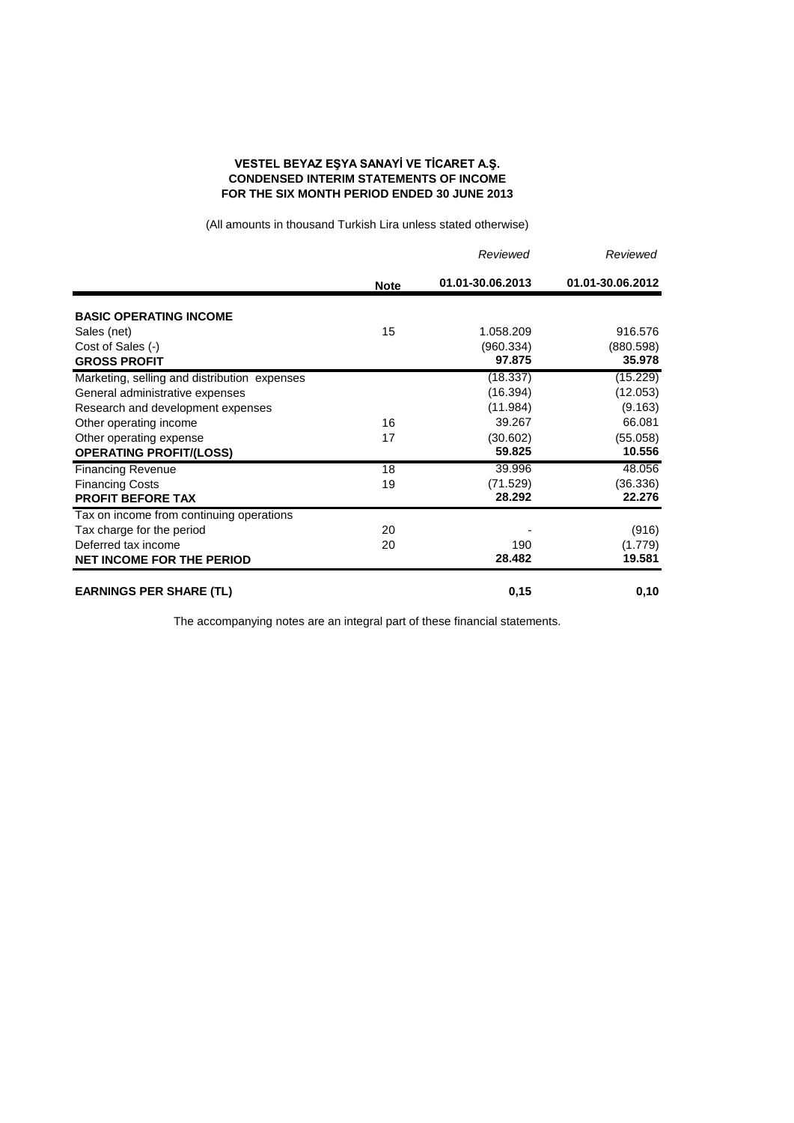## **VESTEL BEYAZ EŞYA SANAYİ VE TİCARET A.Ş. CONDENSED INTERIM STATEMENTS OF INCOME FOR THE SIX MONTH PERIOD ENDED 30 JUNE 2013**

(All amounts in thousand Turkish Lira unless stated otherwise)

|                                              |             |                  | Reviewed         | Reviewed |
|----------------------------------------------|-------------|------------------|------------------|----------|
|                                              | <b>Note</b> | 01.01-30.06.2013 | 01.01-30.06.2012 |          |
| <b>BASIC OPERATING INCOME</b>                |             |                  |                  |          |
| Sales (net)                                  | 15          | 1.058.209        | 916.576          |          |
| Cost of Sales (-)                            |             | (960.334)        | (880.598)        |          |
| <b>GROSS PROFIT</b>                          |             | 97.875           | 35.978           |          |
| Marketing, selling and distribution expenses |             | (18.337)         | (15.229)         |          |
| General administrative expenses              |             | (16.394)         | (12.053)         |          |
| Research and development expenses            |             | (11.984)         | (9.163)          |          |
| Other operating income                       | 16          | 39.267           | 66.081           |          |
| Other operating expense                      | 17          | (30.602)         | (55.058)         |          |
| <b>OPERATING PROFIT/(LOSS)</b>               |             | 59.825           | 10.556           |          |
| <b>Financing Revenue</b>                     | 18          | 39.996           | 48.056           |          |
| <b>Financing Costs</b>                       | 19          | (71.529)         | (36.336)         |          |
| <b>PROFIT BEFORE TAX</b>                     |             | 28.292           | 22.276           |          |
| Tax on income from continuing operations     |             |                  |                  |          |
| Tax charge for the period                    | 20          |                  | (916)            |          |
| Deferred tax income                          | 20          | 190              | (1.779)          |          |
| <b>NET INCOME FOR THE PERIOD</b>             |             | 28.482           | 19.581           |          |
| <b>EARNINGS PER SHARE (TL)</b>               |             | 0,15             | 0,10             |          |

The accompanying notes are an integral part of these financial statements.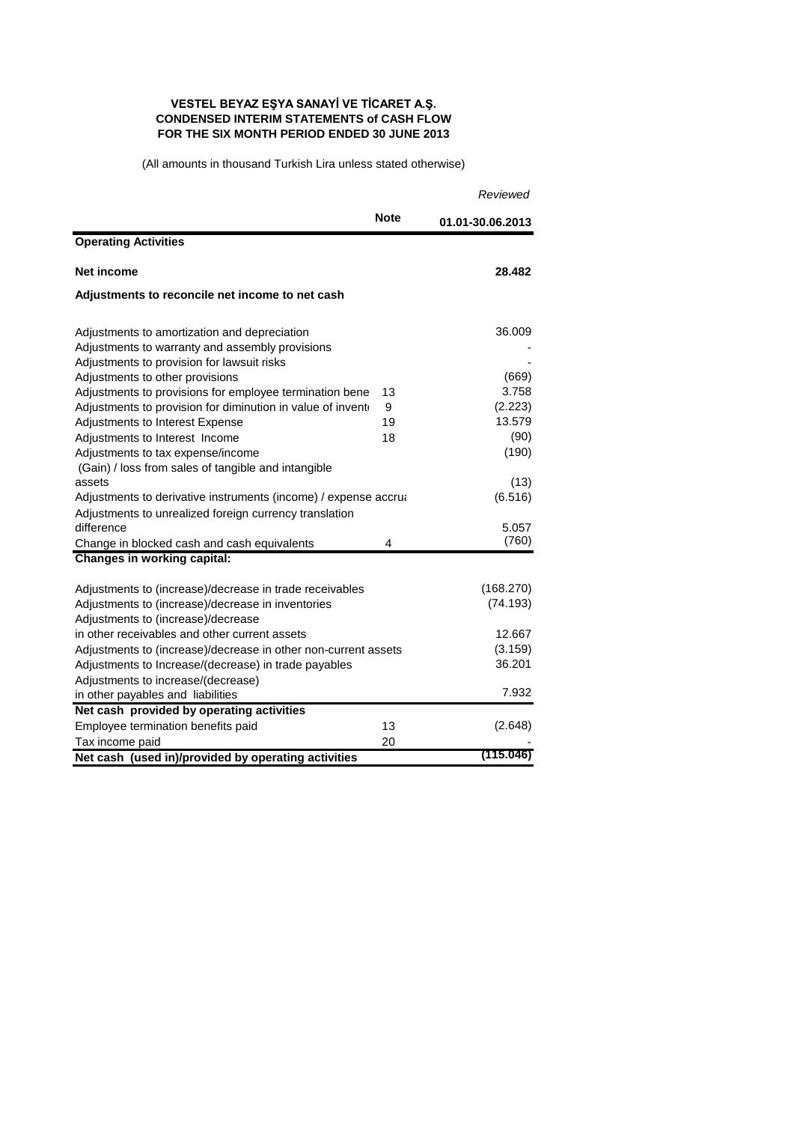## **VESTEL BEYAZ EŞYA SANAYİ VE TİCARET A.Ş. CONDENSED INTERIM STATEMENTS of CASH FLOW FOR THE SIX MONTH PERIOD ENDED 30 JUNE 2013**

(All amounts in thousand Turkish Lira unless stated otherwise)

|                                                                 |             | Reviewed         |
|-----------------------------------------------------------------|-------------|------------------|
|                                                                 | <b>Note</b> | 01.01-30.06.2013 |
| <b>Operating Activities</b>                                     |             |                  |
| Net income                                                      |             | 28.482           |
| Adjustments to reconcile net income to net cash                 |             |                  |
| Adjustments to amortization and depreciation                    |             | 36.009           |
| Adjustments to warranty and assembly provisions                 |             |                  |
| Adjustments to provision for lawsuit risks                      |             |                  |
| Adjustments to other provisions                                 |             | (669)            |
| Adjustments to provisions for employee termination bene         | 13          | 3.758            |
| Adjustments to provision for diminution in value of invento     | 9           | (2.223)          |
| Adjustments to Interest Expense                                 | 19          | 13.579           |
| Adjustments to Interest Income                                  | 18          | (90)             |
| Adjustments to tax expense/income                               |             | (190)            |
| (Gain) / loss from sales of tangible and intangible             |             |                  |
| assets                                                          |             | (13)             |
| Adjustments to derivative instruments (income) / expense accrua |             | (6.516)          |
| Adjustments to unrealized foreign currency translation          |             |                  |
| difference                                                      |             | 5.057            |
| Change in blocked cash and cash equivalents                     | 4           | (760)            |
| <b>Changes in working capital:</b>                              |             |                  |
| Adjustments to (increase)/decrease in trade receivables         |             | (168.270)        |
| Adjustments to (increase)/decrease in inventories               |             | (74.193)         |
| Adjustments to (increase)/decrease                              |             |                  |
| in other receivables and other current assets                   |             | 12.667           |
| Adjustments to (increase)/decrease in other non-current assets  |             | (3.159)          |
| Adjustments to Increase/(decrease) in trade payables            |             | 36.201           |
| Adjustments to increase/(decrease)                              |             |                  |
| in other payables and liabilities                               |             | 7.932            |
| Net cash provided by operating activities                       |             |                  |
| Employee termination benefits paid                              | 13          | (2.648)          |
| Tax income paid                                                 | 20          |                  |
| Net cash (used in)/provided by operating activities             |             | (115.046)        |